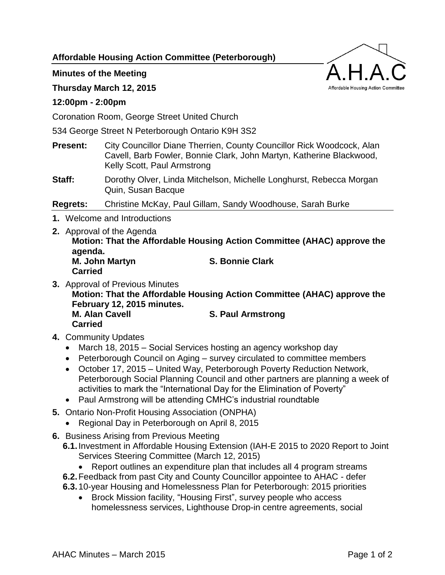**Affordable Housing Action Committee (Peterborough)**

# **Minutes of the Meeting**

## **Thursday March 12, 2015**

### **12:00pm - 2:00pm**

Coronation Room, George Street United Church

534 George Street N Peterborough Ontario K9H 3S2

- **Present:** City Councillor Diane Therrien, County Councillor Rick Woodcock, Alan Cavell, Barb Fowler, Bonnie Clark, John Martyn, Katherine Blackwood, Kelly Scott, Paul Armstrong
- **Staff:** Dorothy Olver, Linda Mitchelson, Michelle Longhurst, Rebecca Morgan Quin, Susan Bacque

**Regrets:** Christine McKay, Paul Gillam, Sandy Woodhouse, Sarah Burke

- **1.** Welcome and Introductions
- **2.** Approval of the Agenda **Motion: That the Affordable Housing Action Committee (AHAC) approve the agenda. M. John Martyn S. Bonnie Clark Carried**
- **3.** Approval of Previous Minutes

**Motion: That the Affordable Housing Action Committee (AHAC) approve the February 12, 2015 minutes.**

**M. Alan Cavell S. Paul Armstrong Carried**

- **4.** Community Updates
	- March 18, 2015 Social Services hosting an agency workshop day
	- Peterborough Council on Aging survey circulated to committee members
	- October 17, 2015 United Way, Peterborough Poverty Reduction Network, Peterborough Social Planning Council and other partners are planning a week of activities to mark the "International Day for the Elimination of Poverty"
	- Paul Armstrong will be attending CMHC's industrial roundtable
- **5.** Ontario Non-Profit Housing Association (ONPHA)
	- Regional Day in Peterborough on April 8, 2015
- **6.** Business Arising from Previous Meeting
	- **6.1.**Investment in Affordable Housing Extension (IAH-E 2015 to 2020 Report to Joint Services Steering Committee (March 12, 2015)
		- Report outlines an expenditure plan that includes all 4 program streams
	- **6.2.**Feedback from past City and County Councillor appointee to AHAC defer
	- **6.3.**10-year Housing and Homelessness Plan for Peterborough: 2015 priorities
		- Brock Mission facility, "Housing First", survey people who access homelessness services, Lighthouse Drop-in centre agreements, social